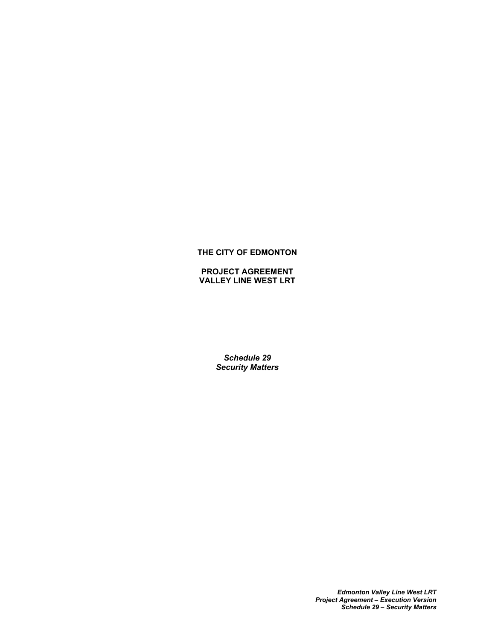# **THE CITY OF EDMONTON**

**PROJECT AGREEMENT VALLEY LINE WEST LRT**

> *Schedule 29 Security Matters*

> > *Edmonton Valley Line West LRT Project Agreement – Execution Version Schedule 29 – Security Matters*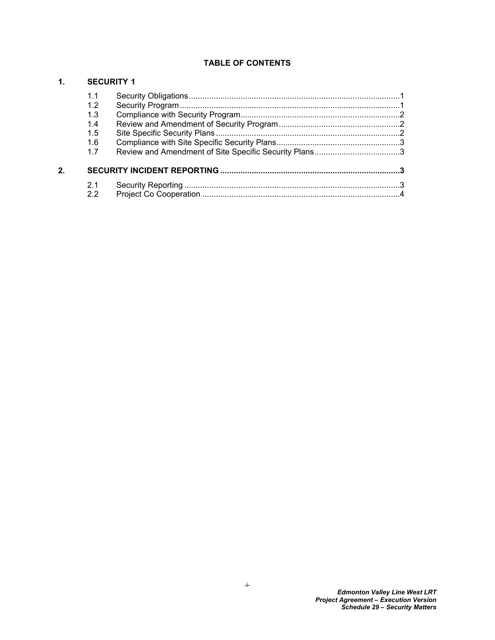# **TABLE OF CONTENTS**

# **[1. SECURITY 1](#page-2-0)**

|    | 1.1 |  |  |
|----|-----|--|--|
|    | 1.2 |  |  |
|    | 1.3 |  |  |
|    | 1.4 |  |  |
|    | 1.5 |  |  |
|    | 1.6 |  |  |
|    | 1.7 |  |  |
| 2. |     |  |  |
|    | 2.1 |  |  |
|    | 2.2 |  |  |
|    |     |  |  |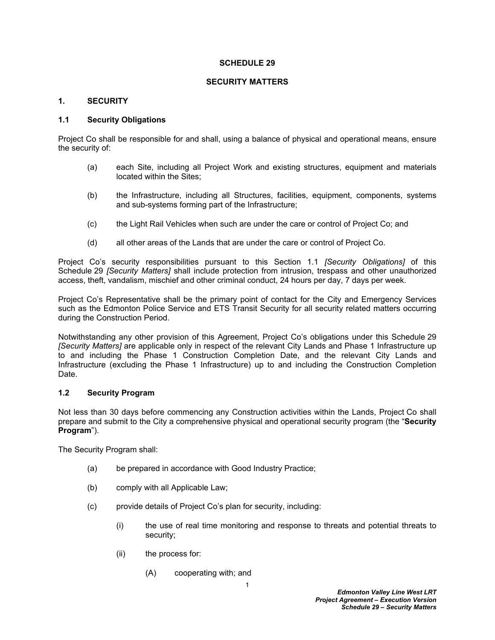#### **SCHEDULE 29**

#### **SECURITY MATTERS**

#### <span id="page-2-0"></span>**1. SECURITY**

# <span id="page-2-1"></span>**1.1 Security Obligations**

Project Co shall be responsible for and shall, using a balance of physical and operational means, ensure the security of:

- (a) each Site, including all Project Work and existing structures, equipment and materials located within the Sites;
- (b) the Infrastructure, including all Structures, facilities, equipment, components, systems and sub-systems forming part of the Infrastructure;
- (c) the Light Rail Vehicles when such are under the care or control of Project Co; and
- (d) all other areas of the Lands that are under the care or control of Project Co.

Project Co's security responsibilities pursuant to this Section 1.1 *[Security Obligations]* of this Schedule 29 *[Security Matters]* shall include protection from intrusion, trespass and other unauthorized access, theft, vandalism, mischief and other criminal conduct, 24 hours per day, 7 days per week.

Project Co's Representative shall be the primary point of contact for the City and Emergency Services such as the Edmonton Police Service and ETS Transit Security for all security related matters occurring during the Construction Period.

Notwithstanding any other provision of this Agreement, Project Co's obligations under this Schedule 29 *[Security Matters]* are applicable only in respect of the relevant City Lands and Phase 1 Infrastructure up to and including the Phase 1 Construction Completion Date, and the relevant City Lands and Infrastructure (excluding the Phase 1 Infrastructure) up to and including the Construction Completion Date.

## <span id="page-2-2"></span>**1.2 Security Program**

Not less than 30 days before commencing any Construction activities within the Lands, Project Co shall prepare and submit to the City a comprehensive physical and operational security program (the "**Security Program**").

The Security Program shall:

- (a) be prepared in accordance with Good Industry Practice;
- (b) comply with all Applicable Law;
- (c) provide details of Project Co's plan for security, including:
	- (i) the use of real time monitoring and response to threats and potential threats to security;
	- (ii) the process for:
		- (A) cooperating with; and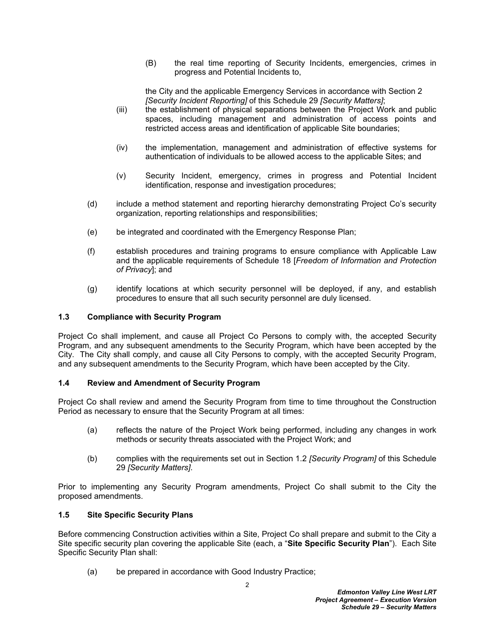(B) the real time reporting of Security Incidents, emergencies, crimes in progress and Potential Incidents to,

the City and the applicable Emergency Services in accordance with Section 2 *[Security Incident Reporting]* of this Schedule 29 *[Security Matters]*;

- (iii) the establishment of physical separations between the Project Work and public spaces, including management and administration of access points and restricted access areas and identification of applicable Site boundaries;
- (iv) the implementation, management and administration of effective systems for authentication of individuals to be allowed access to the applicable Sites; and
- (v) Security Incident, emergency, crimes in progress and Potential Incident identification, response and investigation procedures;
- (d) include a method statement and reporting hierarchy demonstrating Project Co's security organization, reporting relationships and responsibilities;
- (e) be integrated and coordinated with the Emergency Response Plan;
- (f) establish procedures and training programs to ensure compliance with Applicable Law and the applicable requirements of Schedule 18 [*Freedom of Information and Protection of Privacy*]; and
- (g) identify locations at which security personnel will be deployed, if any, and establish procedures to ensure that all such security personnel are duly licensed.

# <span id="page-3-0"></span>**1.3 Compliance with Security Program**

Project Co shall implement, and cause all Project Co Persons to comply with, the accepted Security Program, and any subsequent amendments to the Security Program, which have been accepted by the City. The City shall comply, and cause all City Persons to comply, with the accepted Security Program, and any subsequent amendments to the Security Program, which have been accepted by the City.

#### <span id="page-3-1"></span>**1.4 Review and Amendment of Security Program**

Project Co shall review and amend the Security Program from time to time throughout the Construction Period as necessary to ensure that the Security Program at all times:

- (a) reflects the nature of the Project Work being performed, including any changes in work methods or security threats associated with the Project Work; and
- (b) complies with the requirements set out in Section 1.2 *[Security Program]* of this Schedule 29 *[Security Matters]*.

Prior to implementing any Security Program amendments, Project Co shall submit to the City the proposed amendments.

#### <span id="page-3-2"></span>**1.5 Site Specific Security Plans**

Before commencing Construction activities within a Site, Project Co shall prepare and submit to the City a Site specific security plan covering the applicable Site (each, a "**Site Specific Security Plan**"). Each Site Specific Security Plan shall:

(a) be prepared in accordance with Good Industry Practice;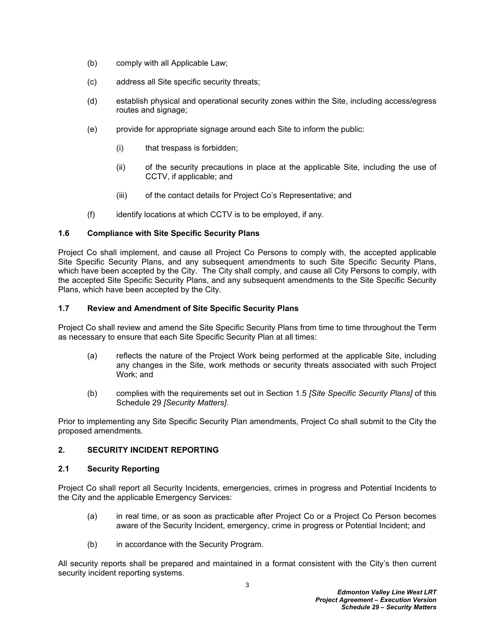- (b) comply with all Applicable Law;
- (c) address all Site specific security threats;
- (d) establish physical and operational security zones within the Site, including access/egress routes and signage;
- (e) provide for appropriate signage around each Site to inform the public:
	- (i) that trespass is forbidden;
	- (ii) of the security precautions in place at the applicable Site, including the use of CCTV, if applicable; and
	- (iii) of the contact details for Project Co's Representative; and
- (f) identify locations at which CCTV is to be employed, if any.

# <span id="page-4-0"></span>**1.6 Compliance with Site Specific Security Plans**

Project Co shall implement, and cause all Project Co Persons to comply with, the accepted applicable Site Specific Security Plans, and any subsequent amendments to such Site Specific Security Plans, which have been accepted by the City. The City shall comply, and cause all City Persons to comply, with the accepted Site Specific Security Plans, and any subsequent amendments to the Site Specific Security Plans, which have been accepted by the City.

# <span id="page-4-1"></span>**1.7 Review and Amendment of Site Specific Security Plans**

Project Co shall review and amend the Site Specific Security Plans from time to time throughout the Term as necessary to ensure that each Site Specific Security Plan at all times:

- (a) reflects the nature of the Project Work being performed at the applicable Site, including any changes in the Site, work methods or security threats associated with such Project Work; and
- (b) complies with the requirements set out in Section 1.5 *[Site Specific Security Plans]* of this Schedule 29 *[Security Matters]*.

Prior to implementing any Site Specific Security Plan amendments, Project Co shall submit to the City the proposed amendments.

#### <span id="page-4-2"></span>**2. SECURITY INCIDENT REPORTING**

# <span id="page-4-3"></span>**2.1 Security Reporting**

Project Co shall report all Security Incidents, emergencies, crimes in progress and Potential Incidents to the City and the applicable Emergency Services:

- (a) in real time, or as soon as practicable after Project Co or a Project Co Person becomes aware of the Security Incident, emergency, crime in progress or Potential Incident; and
- (b) in accordance with the Security Program.

All security reports shall be prepared and maintained in a format consistent with the City's then current security incident reporting systems.